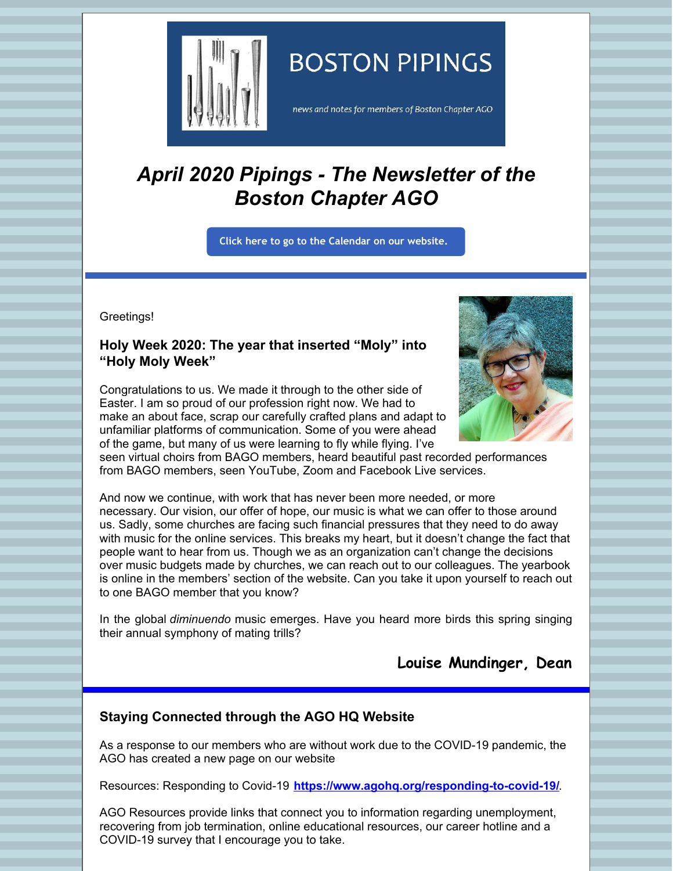

# **BOSTON PIPINGS**

news and notes for members of Boston Chapter AGO

# *April 2020 Pipings - The Newsletter of the Boston Chapter AGO*

**Click here to go to the [Calendar](http://www.bostonago.org/calendar-2/) on our website.**

Greetings!

## **Holy Week 2020: The year that inserted "Moly" into "Holy Moly Week"**

Congratulations to us. We made it through to the other side of Easter. I am so proud of our profession right now. We had to make an about face, scrap our carefully crafted plans and adapt to unfamiliar platforms of communication. Some of you were ahead of the game, but many of us were learning to fly while flying. I've



seen virtual choirs from BAGO members, heard beautiful past recorded performances from BAGO members, seen YouTube, Zoom and Facebook Live services.

And now we continue, with work that has never been more needed, or more necessary. Our vision, our offer of hope, our music is what we can offer to those around us. Sadly, some churches are facing such financial pressures that they need to do away with music for the online services. This breaks my heart, but it doesn't change the fact that people want to hear from us. Though we as an organization can't change the decisions over music budgets made by churches, we can reach out to our colleagues. The yearbook is online in the members' section of the website. Can you take it upon yourself to reach out to one BAGO member that you know?

In the global *diminuendo* music emerges. Have you heard more birds this spring singing their annual symphony of mating trills?

**Louise Mundinger, Dean**

# **Staying Connected through the AGO HQ Website**

As a response to our members who are without work due to the COVID-19 pandemic, the AGO has created a new page on our website

Resources: Responding to Covid-19 **<https://www.agohq.org/responding-to-covid-19/>**.

AGO Resources provide links that connect you to information regarding unemployment, recovering from job termination, online educational resources, our career hotline and a COVID-19 survey that I encourage you to take.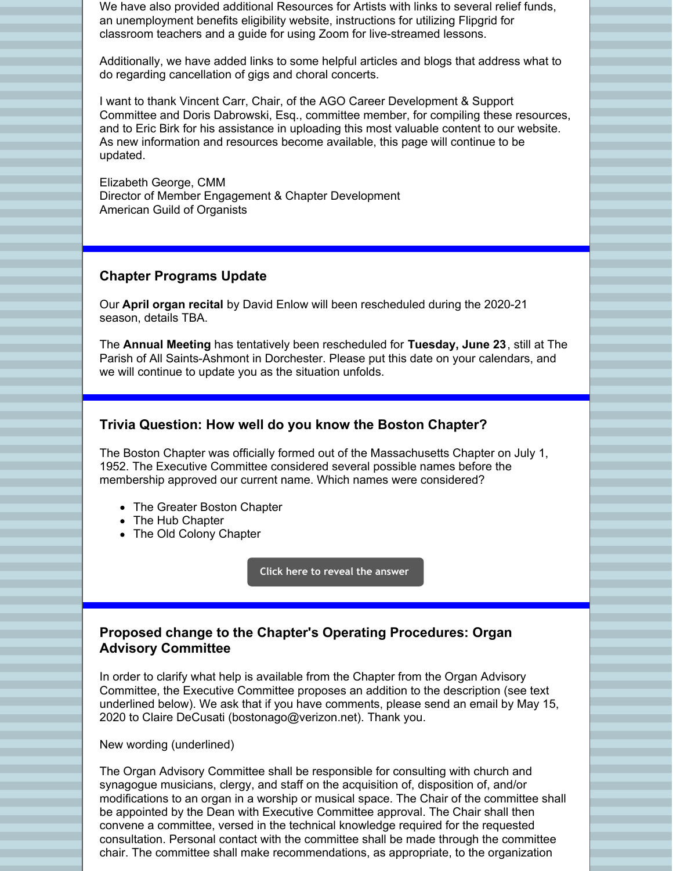We have also provided additional Resources for Artists with links to several relief funds, an unemployment benefits eligibility website, instructions for utilizing Flipgrid for classroom teachers and a guide for using Zoom for live-streamed lessons.

Additionally, we have added links to some helpful articles and blogs that address what to do regarding cancellation of gigs and choral concerts.

I want to thank Vincent Carr, Chair, of the AGO Career Development & Support Committee and Doris Dabrowski, Esq., committee member, for compiling these resources, and to Eric Birk for his assistance in uploading this most valuable content to our website. As new information and resources become available, this page will continue to be updated.

Elizabeth George, CMM Director of Member Engagement & Chapter Development American Guild of Organists

#### **Chapter Programs Update**

Our **April organ recital** by David Enlow will been rescheduled during the 2020-21 season, details TBA.

The **Annual Meeting** has tentatively been rescheduled for **Tuesday, June 23**, still at The Parish of All Saints-Ashmont in Dorchester. Please put this date on your calendars, and we will continue to update you as the situation unfolds.

#### **Trivia Question: How well do you know the Boston Chapter?**

The Boston Chapter was officially formed out of the Massachusetts Chapter on July 1, 1952. The Executive Committee considered several possible names before the membership approved our current name. Which names were considered?

- The Greater Boston Chapter
- The Hub Chapter
- The Old Colony Chapter

**Click here to reveal the [answer](http://bostonago.org/history)**

## **Proposed change to the Chapter's Operating Procedures: Organ Advisory Committee**

In order to clarify what help is available from the Chapter from the Organ Advisory Committee, the Executive Committee proposes an addition to the description (see text underlined below). We ask that if you have comments, please send an email by May 15, 2020 to Claire DeCusati (bostonago@verizon.net). Thank you.

New wording (underlined)

The Organ Advisory Committee shall be responsible for consulting with church and synagogue musicians, clergy, and staff on the acquisition of, disposition of, and/or modifications to an organ in a worship or musical space. The Chair of the committee shall be appointed by the Dean with Executive Committee approval. The Chair shall then convene a committee, versed in the technical knowledge required for the requested consultation. Personal contact with the committee shall be made through the committee chair. The committee shall make recommendations, as appropriate, to the organization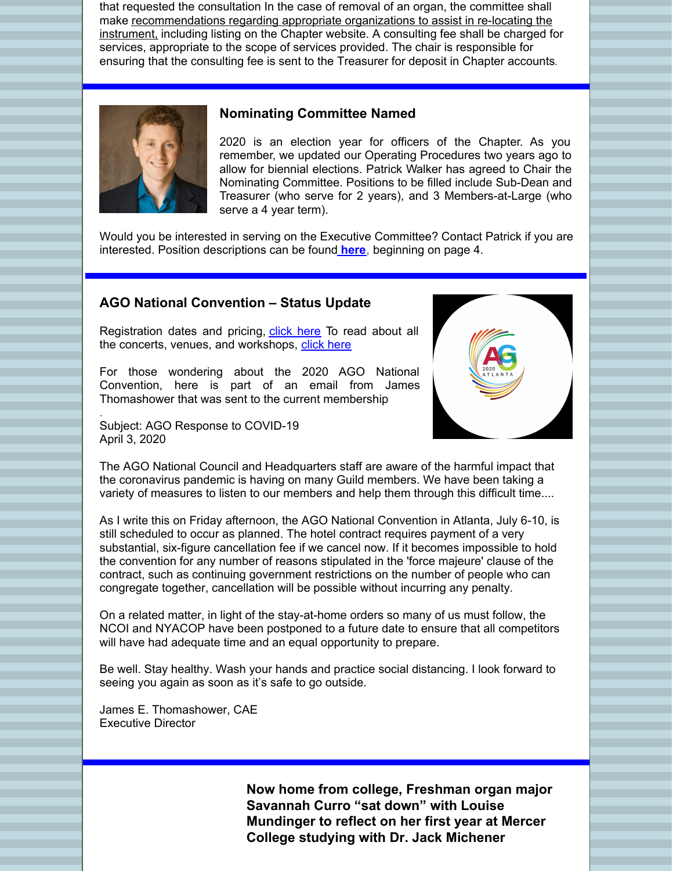that requested the consultation In the case of removal of an organ, the committee shall make recommendations regarding appropriate organizations to assist in re-locating the instrument, including listing on the Chapter website. A consulting fee shall be charged for services, appropriate to the scope of services provided. The chair is responsible for ensuring that the consulting fee is sent to the Treasurer for deposit in Chapter accounts.



.

#### **Nominating Committee Named**

2020 is an election year for officers of the Chapter. As you remember, we updated our Operating Procedures two years ago to allow for biennial elections. Patrick Walker has agreed to Chair the Nominating Committee. Positions to be filled include Sub-Dean and Treasurer (who serve for 2 years), and 3 Members-at-Large (who serve a 4 year term).

Would you be interested in serving on the Executive Committee? Contact Patrick if you are interested. Position descriptions can be found **[here](http://www.bostonago.org/wp-content/uploads/2020/01/2020.01.01-Operating-Procedures-final.pdf)**, beginning on page 4.

#### **AGO National Convention – Status Update**

Registration dates and pricing, [click](https://www.agoatlanta2020.com/registration/) here To read about all the concerts, venues, and workshops, [click](https://www.agoatlanta2020.com/) here

For those wondering about the 2020 AGO National Convention, here is part of an email from James Thomashower that was sent to the current membership

Subject: AGO Response to COVID-19 April 3, 2020



The AGO National Council and Headquarters staff are aware of the harmful impact that the coronavirus pandemic is having on many Guild members. We have been taking a variety of measures to listen to our members and help them through this difficult time....

As I write this on Friday afternoon, the AGO National Convention in Atlanta, July 6-10, is still scheduled to occur as planned. The hotel contract requires payment of a very substantial, six-figure cancellation fee if we cancel now. If it becomes impossible to hold the convention for any number of reasons stipulated in the 'force majeure' clause of the contract, such as continuing government restrictions on the number of people who can congregate together, cancellation will be possible without incurring any penalty.

On a related matter, in light of the stay-at-home orders so many of us must follow, the NCOI and NYACOP have been postponed to a future date to ensure that all competitors will have had adequate time and an equal opportunity to prepare.

Be well. Stay healthy. Wash your hands and practice social distancing. I look forward to seeing you again as soon as it's safe to go outside.

James E. Thomashower, CAE Executive Director

> **Now home from college, Freshman organ major Savannah Curro "sat down" with Louise Mundinger to reflect on her first year at Mercer College studying with Dr. Jack Michener**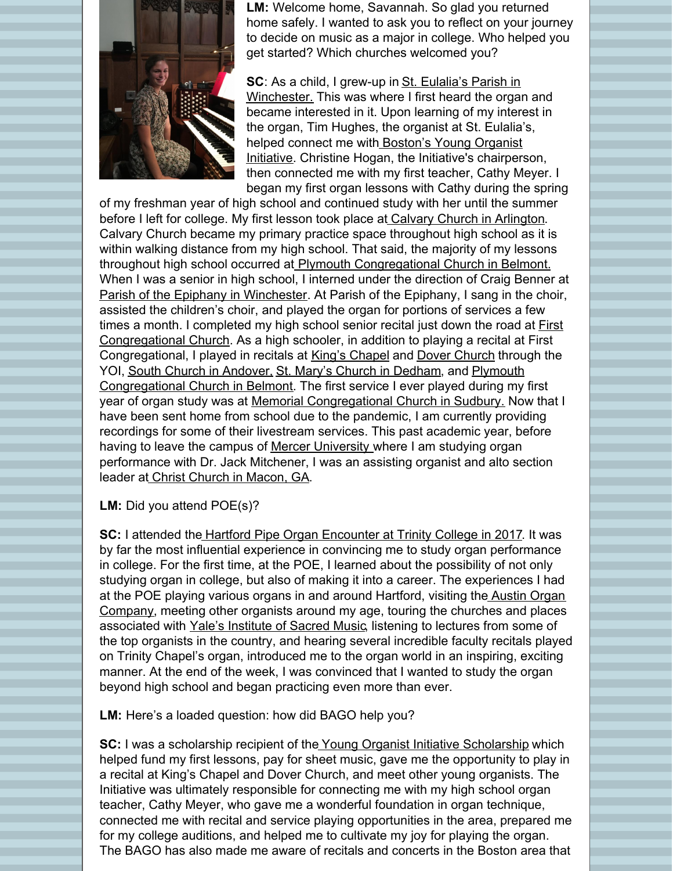

**LM:** Welcome home, Savannah. So glad you returned home safely. I wanted to ask you to reflect on your journey to decide on music as a major in college. Who helped you get started? Which churches welcomed you?

**SC**: As a child, I grew-up in St. Eulalia's Parish in Winchester. This was where I first heard the organ and became interested in it. Upon learning of my interest in the organ, Tim Hughes, the organist at St. Eulalia's, helped connect me with Boston's Young Organist Initiative. Christine Hogan, the Initiative's chairperson, then connected me with my first teacher, Cathy Meyer. I began my first organ lessons with Cathy during the spring

of my freshman year of high school and continued study with her until the summer before I left for college. My first lesson took place at Calvary Church in Arlington. Calvary Church became my primary practice space throughout high school as it is within walking distance from my high school. That said, the majority of my lessons throughout high school occurred at Plymouth Congregational Church in Belmont. When I was a senior in high school, I interned under the direction of Craig Benner at Parish of the Epiphany in Winchester. At Parish of the Epiphany, I sang in the choir, assisted the children's choir, and played the organ for portions of services a few times a month. I completed my high school senior recital just down the road at First Congregational Church. As a high schooler, in addition to playing a recital at First Congregational, I played in recitals at King's Chapel and Dover Church through the YOI, South Church in Andover, St. Mary's Church in Dedham, and Plymouth Congregational Church in Belmont. The first service I ever played during my first year of organ study was at Memorial Congregational Church in Sudbury. Now that I have been sent home from school due to the pandemic, I am currently providing recordings for some of their livestream services. This past academic year, before having to leave the campus of Mercer University where I am studying organ performance with Dr. Jack Mitchener, I was an assisting organist and alto section leader at Christ Church in Macon, GA.

**LM:** Did you attend POE(s)?

**SC:** I attended the Hartford Pipe Organ Encounter at Trinity College in 2017. It was by far the most influential experience in convincing me to study organ performance in college. For the first time, at the POE, I learned about the possibility of not only studying organ in college, but also of making it into a career. The experiences I had at the POE playing various organs in and around Hartford, visiting the Austin Organ Company, meeting other organists around my age, touring the churches and places associated with Yale's Institute of Sacred Music, listening to lectures from some of the top organists in the country, and hearing several incredible faculty recitals played on Trinity Chapel's organ, introduced me to the organ world in an inspiring, exciting manner. At the end of the week, I was convinced that I wanted to study the organ beyond high school and began practicing even more than ever.

**LM:** Here's a loaded question: how did BAGO help you?

**SC:** I was a scholarship recipient of the Young Organist Initiative Scholarship which helped fund my first lessons, pay for sheet music, gave me the opportunity to play in a recital at King's Chapel and Dover Church, and meet other young organists. The Initiative was ultimately responsible for connecting me with my high school organ teacher, Cathy Meyer, who gave me a wonderful foundation in organ technique, connected me with recital and service playing opportunities in the area, prepared me for my college auditions, and helped me to cultivate my joy for playing the organ. The BAGO has also made me aware of recitals and concerts in the Boston area that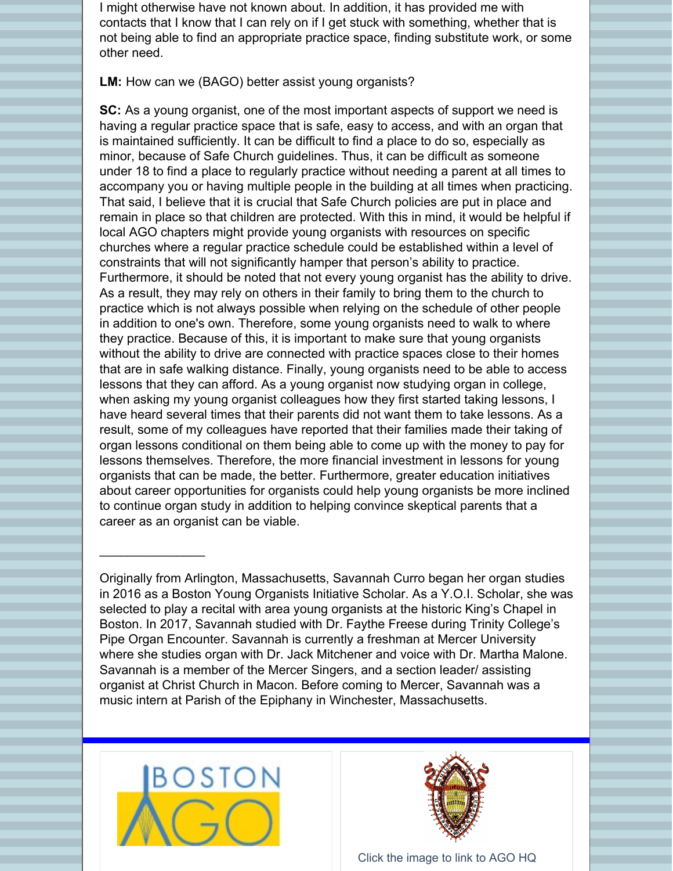I might otherwise have not known about. In addition, it has provided me with contacts that I know that I can rely on if I get stuck with something, whether that is not being able to find an appropriate practice space, finding substitute work, or some other need.

#### **LM:** How can we (BAGO) better assist young organists?

**SC:** As a young organist, one of the most important aspects of support we need is having a regular practice space that is safe, easy to access, and with an organ that is maintained sufficiently. It can be difficult to find a place to do so, especially as minor, because of Safe Church guidelines. Thus, it can be difficult as someone under 18 to find a place to regularly practice without needing a parent at all times to accompany you or having multiple people in the building at all times when practicing. That said, I believe that it is crucial that Safe Church policies are put in place and remain in place so that children are protected. With this in mind, it would be helpful if local AGO chapters might provide young organists with resources on specific churches where a regular practice schedule could be established within a level of constraints that will not significantly hamper that person's ability to practice. Furthermore, it should be noted that not every young organist has the ability to drive. As a result, they may rely on others in their family to bring them to the church to practice which is not always possible when relying on the schedule of other people in addition to one's own. Therefore, some young organists need to walk to where they practice. Because of this, it is important to make sure that young organists without the ability to drive are connected with practice spaces close to their homes that are in safe walking distance. Finally, young organists need to be able to access lessons that they can afford. As a young organist now studying organ in college, when asking my young organist colleagues how they first started taking lessons, I have heard several times that their parents did not want them to take lessons. As a result, some of my colleagues have reported that their families made their taking of organ lessons conditional on them being able to come up with the money to pay for lessons themselves. Therefore, the more financial investment in lessons for young organists that can be made, the better. Furthermore, greater education initiatives about career opportunities for organists could help young organists be more inclined to continue organ study in addition to helping convince skeptical parents that a career as an organist can be viable.

Originally from Arlington, Massachusetts, Savannah Curro began her organ studies in 2016 as a Boston Young Organists Initiative Scholar. As a Y.O.I. Scholar, she was selected to play a recital with area young organists at the historic King's Chapel in Boston. In 2017, Savannah studied with Dr. Faythe Freese during Trinity College's Pipe Organ Encounter. Savannah is currently a freshman at Mercer University where she studies organ with Dr. Jack Mitchener and voice with Dr. Martha Malone. Savannah is a member of the Mercer Singers, and a section leader/ assisting organist at Christ Church in Macon. Before coming to Mercer, Savannah was a music intern at Parish of the Epiphany in Winchester, Massachusetts.



 $\frac{1}{2}$  ,  $\frac{1}{2}$  ,  $\frac{1}{2}$  ,  $\frac{1}{2}$  ,  $\frac{1}{2}$  ,  $\frac{1}{2}$  ,  $\frac{1}{2}$  ,  $\frac{1}{2}$  ,  $\frac{1}{2}$ 



Click the image to link to AGO HQ